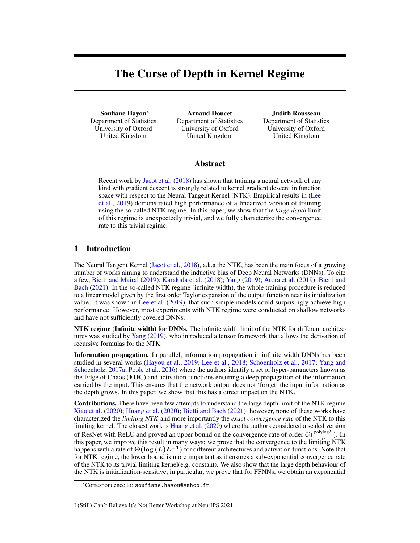# The Curse of Depth in Kernel Regime

Soufiane Hayou<sup>∗</sup> Department of Statistics University of Oxford United Kingdom

Arnaud Doucet Department of Statistics University of Oxford United Kingdom

Judith Rousseau Department of Statistics University of Oxford United Kingdom

# Abstract

Recent work by [Jacot et al.](#page-5-0) [\(2018\)](#page-5-0) has shown that training a neural network of any kind with gradient descent is strongly related to kernel gradient descent in function space with respect to the Neural Tangent Kernel (NTK). Empirical results in [\(Lee](#page-5-1) [et al.,](#page-5-1) [2019\)](#page-5-1) demonstrated high performance of a linearized version of training using the so-called NTK regime. In this paper, we show that the *large depth* limit of this regime is unexpectedly trivial, and we fully characterize the convergence rate to this trivial regime.

# <span id="page-0-0"></span>1 Introduction

The Neural Tangent Kernel [\(Jacot et al.,](#page-5-0) [2018\)](#page-5-0), a.k.a the NTK, has been the main focus of a growing number of works aiming to understand the inductive bias of Deep Neural Networks (DNNs). To cite a few, [Bietti and Mairal](#page-5-2) [\(2019\)](#page-5-2); [Karakida et al.](#page-5-3) [\(2018\)](#page-5-3); [Yang](#page-6-0) [\(2019\)](#page-6-0); [Arora et al.](#page-5-4) [\(2019\)](#page-5-4); [Bietti and](#page-5-5) [Bach](#page-5-5) [\(2021\)](#page-5-5). In the so-called NTK regime (infinite width), the whole training procedure is reduced to a linear model given by the first order Taylor expansion of the output function near its initialization value. It was shown in [Lee et al.](#page-5-1) [\(2019\)](#page-5-1), that such simple models could surprisingly achieve high performance. However, most experiments with NTK regime were conducted on shallow networks and have not sufficiently covered DNNs.

NTK regime (Infinite width) for DNNs. The infinite width limit of the NTK for different architectures was studied by [Yang](#page-6-0) [\(2019\)](#page-6-0), who introduced a tensor framework that allows the derivation of recursive formulas for the NTK.

Information propagation. In parallel, information propagation in infinite width DNNs has been studied in several works [\(Hayou et al.,](#page-5-6) [2019;](#page-5-6) [Lee et al.,](#page-5-7) [2018;](#page-5-7) [Schoenholz et al.,](#page-5-8) [2017;](#page-5-8) [Yang and](#page-6-1) [Schoenholz,](#page-6-1) [2017a;](#page-6-1) [Poole et al.,](#page-5-9) [2016\)](#page-5-9) where the authors identify a set of hyper-parameters known as the Edge of Chaos (EOC) and activation functions ensuring a deep propagation of the information carried by the input. This ensures that the network output does not 'forget' the input information as the depth grows. In this paper, we show that this has a direct impact on the NTK.

Contributions. There have been few attempts to understand the large depth limit of the NTK regime [Xiao et al.](#page-6-2) [\(2020\)](#page-6-2); [Huang et al.](#page-5-10) [\(2020\)](#page-5-10); [Bietti and Bach](#page-5-5) [\(2021\)](#page-5-5); however, none of these works have characterized the *limiting NTK* and more importantly the *exact convergence rate* of the NTK to this limiting kernel. The closest work is [Huang et al.](#page-5-10) [\(2020\)](#page-5-10) where the authors considered a scaled version of ResNet with ReLU and proved an upper bound on the convergence rate of order  $\mathcal{O}(\frac{\text{polylog}L}{L})$ . In this paper, we improve this result in many ways: we prove that the convergence to the limiting NTK happens with a rate of  $\Theta(\log(L)L^{-1})$  for different architectures and activation functions. Note that for NTK regime, the lower bound is more important as it ensures a sub-exponential convergence rate of the NTK to its trivial limiting kernel(e.g. constant). We also show that the large depth behaviour of the NTK is initialization-sensitive; in particular, we prove that for FFNNs, we obtain an exponential

#### I (Still) Can't Believe It's Not Better Workshop at NeurIPS 2021.

<sup>∗</sup>Correspondence to: soufiane.hayou@yahoo.fr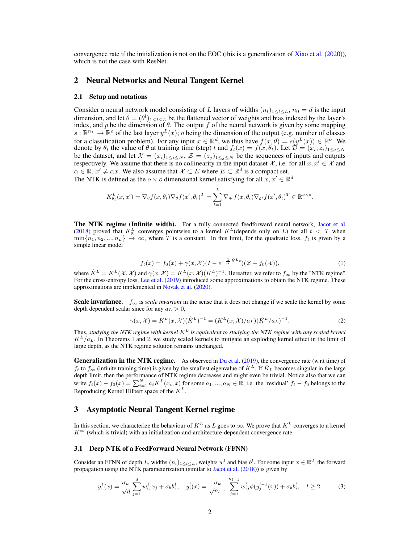convergence rate if the initialization is not on the EOC (this is a generalization of [Xiao et al.](#page-6-2)  $(2020)$ ), which is not the case with ResNet.

# 2 Neural Networks and Neural Tangent Kernel

### 2.1 Setup and notations

Consider a neural network model consisting of L layers of widths  $(n_l)_{1\leq l\leq L}$ ,  $n_0 = d$  is the input dimension, and let  $\theta = (\theta^l)_{1 \leq l \leq L}$  be the flattened vector of weights and bias indexed by the layer's index, and p be the dimension of  $\theta$ . The output f of the neural network is given by some mapping  $s : \mathbb{R}^{n_L} \to \mathbb{R}^{\circ}$  of the last layer  $y^L(x)$ ; o being the dimension of the output (e.g. number of classes for a classification problem). For any input  $x \in \mathbb{R}^d$ , we thus have  $f(x, \theta) = s(y^L(x)) \in \mathbb{R}^o$ . We denote by  $\theta_t$  the value of  $\theta$  at training time (step) t and  $f_t(x) = f(x, \theta_t)$ . Let  $\mathcal{D} = (x_i, z_i)_{1 \leq i \leq N}$ be the dataset, and let  $\mathcal{X} = (x_i)_{1 \leq i \leq N}$ ,  $\mathcal{Z} = (z_j)_{1 \leq j \leq N}$  be the sequences of inputs and outputs respectively. We assume that there is no collinearity in the input dataset X, i.e. for all  $x, x' \in \mathcal{X}$  and  $\alpha \in \mathbb{R}, x' \neq \alpha x$ . We also assume that  $\mathcal{X} \subset E$  where  $E \subset \mathbb{R}^d$  is a compact set. The NTK is defined as the  $o \times o$  dimensional kernel satisfying for all  $x, x' \in \mathbb{R}^d$ 

$$
K_{\theta_t}^L(x, x') = \nabla_{\theta} f(x, \theta_t) \nabla_{\theta} f(x', \theta_t)^T = \sum_{l=1}^L \nabla_{\theta^l} f(x, \theta_t) \nabla_{\theta^l} f(x', \theta_t)^T \in \mathbb{R}^{\sigma \times \sigma}.
$$

The NTK regime (Infinite width). For a fully connected feedforward neural network, [Jacot et al.](#page-5-0) [\(2018\)](#page-5-0) proved that  $K_{\theta_t}^L$  converges pointwise to a kernel  $K^L$  (depends only on L) for all  $t < T$  when  $\min\{n_1, n_2, ..., n_L\} \rightarrow \infty$ , where T is a constant. In this limit, for the quadratic loss,  $f_t$  is given by a simple linear model

$$
f_t(x) = f_0(x) + \gamma(x, \mathcal{X})(I - e^{-\frac{1}{N}\hat{K}^L t})(\mathcal{Z} - f_0(\mathcal{X})),
$$
\n(1)

where  $\hat{K}^L = K^L(\mathcal{X}, \mathcal{X})$  and  $\gamma(x, \mathcal{X}) = K^L(x, \mathcal{X})(\hat{K}^L)^{-1}$ . Hereafter, we refer to  $f_{\infty}$  by the "NTK regime". For the cross-entropy loss, [Lee et al.](#page-5-1) [\(2019\)](#page-5-1) introduced some approximations to obtain the NTK regime. These approximations are implemented in [Novak et al.](#page-5-11) [\(2020\)](#page-5-11).

**Scale invariance.**  $f_{\infty}$  is *scale invariant* in the sense that it does not change if we scale the kernel by some depth dependent scalar since for any  $a_L > 0$ ,

<span id="page-1-1"></span>
$$
\gamma(x,\mathcal{X}) = K^{L}(x,\mathcal{X})(\hat{K}^{L})^{-1} = (K^{L}(x,\mathcal{X})/a_{L})(\hat{K}^{L}/a_{L})^{-1}.
$$
\n(2)

Thus, studying the NTK regime with kernel  $K^L$  is equivalent to studying the NTK regime with any scaled kernel  $K^L/a_L$ . In Theorems 1 and [2,](#page-3-0) we study scaled kernels to mitigate an exploding kernel effect in the limit of large depth, as the NTK regime solution remains unchanged.

Generalization in the NTK regime. As observed in [Du et al.](#page-5-12) [\(2019\)](#page-5-12), the convergence rate (w.r.t time) of  $f_t$  to  $f_\infty$  (infinite training time) is given by the smallest eigenvalue of  $\hat{K}^L$ . If  $\hat{K}_L$  becomes singular in the large depth limit, then the performance of NTK regime decreases and might even be trivial. Notice also that we can write  $f_t(x) - f_0(x) = \sum_{i=1}^{N} a_i K^L(x_i, x)$  for some  $a_1, ..., a_N \in \mathbb{R}$ , i.e. the 'residual'  $f_t - f_0$  belongs to the Reproducing Kernel Hilbert space of the  $K^L$ .

## <span id="page-1-0"></span>3 Asymptotic Neural Tangent Kernel regime

In this section, we characterize the behaviour of  $K^L$  as L goes to  $\infty$ . We prove that  $K^L$  converges to a kernel  $K^{\infty}$  (which is trivial) with an initialization-and-architecture-dependent convergence rate.

## 3.1 Deep NTK of a FeedForward Neural Network (FFNN)

Consider an FFNN of depth L, widths  $(n_l)_{1 \le l \le L}$ , weights  $w^l$  and bias  $b^l$ . For some input  $x \in \mathbb{R}^d$ , the forward propagation using the NTK parameterization (similar to [Jacot et al.](#page-5-0)  $(2018)$ ) is given by

<span id="page-1-2"></span>
$$
y_i^1(x) = \frac{\sigma_w}{\sqrt{d}} \sum_{j=1}^d w_{ij}^1 x_j + \sigma_b b_i^1, \quad y_i^l(x) = \frac{\sigma_w}{\sqrt{n_{l-1}}} \sum_{j=1}^{n_{l-1}} w_{ij}^l \phi(y_j^{l-1}(x)) + \sigma_b b_i^l, \quad l \ge 2.
$$
 (3)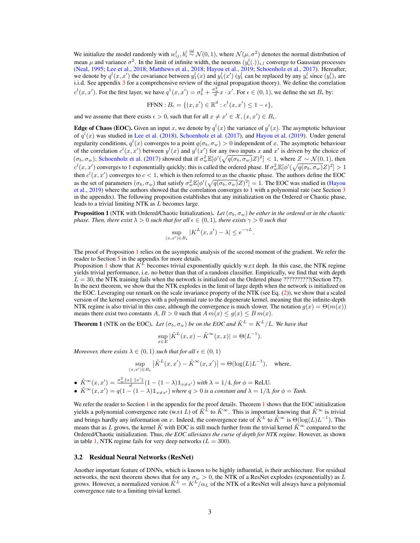We initialize the model randomly with  $w_{ij}^l, b_i^l \stackrel{\text{iid}}{\sim} \mathcal{N}(0,1)$ , where  $\mathcal{N}(\mu, \sigma^2)$  denotes the normal distribution of mean  $\mu$  and variance  $\sigma^2$ . In the limit of infinite width, the neurons  $(y_i^l(.)_{i,l}$  converge to Gaussian processes [\(Neal,](#page-5-13) [1995;](#page-5-13) [Lee et al.,](#page-5-7) [2018;](#page-5-7) [Matthews et al.,](#page-5-14) [2018;](#page-5-14) [Hayou et al.,](#page-5-6) [2019;](#page-5-6) [Schoenholz et al.,](#page-5-8) [2017\)](#page-5-8). Hereafter, we denote by  $q^l(x, x')$  the covariance between  $y_1^l(x)$  and  $y_1^l(x')$  ( $y_1^l$  can be replaced by any  $y_i^l$  since  $(y_i^l)_i$  are i.i.d. See appendix [3](#page-1-0) for a comprehensive review of the signal propagation theory). We define the correlation  $c^l(x, x')$ . For the first layer, we have  $q^1(x, x') = \sigma_b^2 + \frac{\sigma_w^2}{d} x \cdot x'$ . For  $\epsilon \in (0, 1)$ , we define the set  $B_{\epsilon}$  by:

FFNN: 
$$
B_{\epsilon} = \{(x, x') \in \mathbb{R}^d : c^1(x, x') \leq 1 - \epsilon\},\
$$

and we assume that there exists  $\epsilon > 0$ , such that for all  $x \neq x' \in \mathcal{X}, (x, x') \in B_{\epsilon}$ .

**Edge of Chaos (EOC).** Given an input x, we denote by  $q^{l}(x)$  the variance of  $y^{l}(x)$ . The asymptotic behaviour of  $q^{l}(x)$  was studied in [Lee et al.](#page-5-7) [\(2018\)](#page-5-7), [Schoenholz et al.](#page-5-8) [\(2017\)](#page-5-8), and [Hayou et al.](#page-5-6) [\(2019\)](#page-5-6). Under general regularity conditions,  $q^l(x)$  converges to a point  $q(\sigma_b, \sigma_w) > 0$  independent of x. The asymptotic behaviour of the correlation  $c^l(x, x')$  between  $y^l(x)$  and  $y^l(x')$  for any two inputs x and x' is driven by the choice of  $(\sigma_b, \sigma_w)$ ; [Schoenholz et al.](#page-5-8) [\(2017\)](#page-5-8) showed that if  $\sigma_w^2 \mathbb{E}[\phi'(\sqrt{q(\sigma_b, \sigma_w)}Z)^2] < 1$ , where  $Z \sim \mathcal{N}(0, 1)$ , then  $c^l(x, x')$  converges to 1 exponentially quickly; this is called the ordered phase. If  $\sigma_w^2 \mathbb{E}[\phi'(\sqrt{q(\sigma_b, \sigma_w)}Z)^2] > 1$ then  $c^l(x, x')$  converges to  $c < 1$ , which is then referred to as the chaotic phase. The authors define the EOC as the set of parameters  $(\sigma_b, \sigma_w)$  that satisfy  $\sigma_w^2 \mathbb{E}[\phi'(\sqrt{q(\sigma_b, \sigma_w)}Z)^2] = 1$ . The EOC was studied in [\(Hayou](#page-5-6) [et al.,](#page-5-6) [2019\)](#page-5-6) where the authors showed that the correlation converges to 1 with a polynomial rate (see Section [3](#page-1-0) in the appendix). The following proposition establishes that any initialization on the Ordered or Chaotic phase, leads to a trivial limiting NTK as L becomes large.

**Proposition 1** (NTK with Ordered/Chaotic Initialization). Let  $(\sigma_b, \sigma_w)$  be either in the ordered or in the chaotic *phase. Then, there exist*  $\lambda > 0$  *such that for all*  $\epsilon \in (0, 1)$ *, there exists*  $\gamma > 0$  *such that* 

$$
\sup_{(x,x')\in B_{\epsilon}}|K^L(x,x')-\lambda|\leq e^{-\gamma L}.
$$

The proof of Proposition 1 relies on the asymptotic analysis of the second moment of the gradient. We refer the reader to Section 5 in the appendix for more details.

Proposition 1 show that  $K^L$  becomes trivial exponentially quickly w.r.t deph. In this case, the NTK regime yields trivial performance, i.e. no better than that of a random classifier. Empirically, we find that with depth  $L = 30$ , the NTK training fails when the network is initialized on the Ordered phase ?????????(Section ??). In the next theorem, we show that the NTK explodes in the limit of large depth when the network is initialized on the EOC. Leveraging our remark on the scale invariance property of the NTK (see Eq. [\(2\)](#page-1-1)), we show that a scaled version of the kernel converges with a polynomial rate to the degenerate kernel, meaning that the infinite-depth NTK regime is also trivial in this case, although the convergence is much slower. The notation  $q(x) = \Theta(m(x))$ means there exist two constants  $A, B > 0$  such that  $A m(x) \leq g(x) \leq B m(x)$ .

**Theorem 1** (NTK on the EOC). Let  $(\sigma_b, \sigma_w)$  be on the EOC and  $\tilde{K}^L = K^L/L$ . We have that

$$
\sup_{x \in E} |\tilde{K}^L(x, x) - \tilde{K}^{\infty}(x, x)| = \Theta(L^{-1}).
$$

*Moreover, there exists*  $\lambda \in (0,1)$  *such that for all*  $\epsilon \in (0,1)$ 

$$
\sup_{(x,x')\in B_\epsilon} \left|\tilde{K}^L(x,x')-\tilde{K}^\infty(x,x')\right|=\Theta(\log(L)L^{-1}),\quad\text{where,}
$$

•  $\tilde{K}^{\infty}(x, x') = \frac{\sigma_w^2 ||x|| ||x'||}{d} (1 - (1 - \lambda) \mathbb{1}_{x \neq x'})$  *with*  $\lambda = 1/4$ *, for*  $\phi =$  ReLU*.* •  $\tilde{K}^{\infty}(x, x') = q(1 - (1 - \lambda)\mathbb{1}_{x \neq x'})$  where  $q > 0$  is a constant and  $\lambda = 1/3$ , for  $\phi =$  Tanh.

We refer the reader to Section [1](#page-0-0) in the appendix for the proof details. Theorem 1 shows that the EOC initialization yields a polynomial convergence rate (w.r.t L) of  $\tilde{K}^{\tilde{L}}$  to  $\tilde{K}^{\infty}$ . This is important knowing that  $\tilde{K}^{\infty}$  is trivial and brings hardly any information on x. Indeed, the convergence rate of  $\tilde{K}^L$  to  $\tilde{K}^{\infty}$  is  $\Theta(\log(L)L^{-1})$ . This means that as L grows, the kernel  $\tilde{K}$  with EOC is still much further from the trivial kernel  $\tilde{K}^{\infty}$  compared to the Ordered/Chaotic initialization. Thus, *the EOC alleviates the curse of depth for NTK regime*. However, as shown in table [1,](#page-3-1) NTK regime fails for very deep networks ( $L = 300$ ).

#### 3.2 Residual Neural Networks (ResNet)

Another important feature of DNNs, which is known to be highly influential, is their architecture. For residual networks, the next theorem shows that for any  $\sigma_w > 0$ , the NTK of a ResNet explodes (exponentially) as L grows. However, a normalized version  $\bar{K}^L = K^L/\alpha_L$  of the NTK of a ResNet will always have a polynomial convergence rate to a limiting trivial kernel.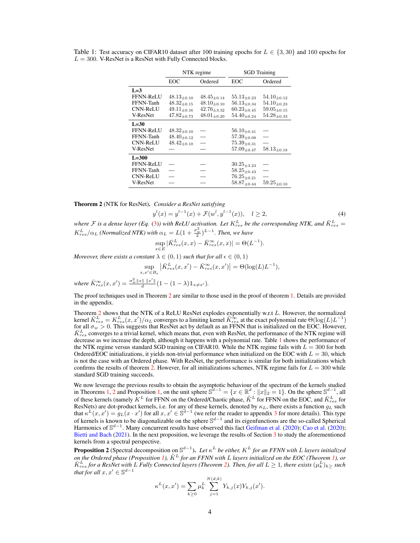|                 | NTK regime         |                    | <b>SGD</b> Training |                    |
|-----------------|--------------------|--------------------|---------------------|--------------------|
|                 | EOC                | Ordered            | EOC                 | Ordered            |
| $L=3$           |                    |                    |                     |                    |
| FFNN-ReLU       | $48.13_{\pm0.10}$  | $48.45_{\pm 0.14}$ | $55.13_{\pm 0.23}$  | $54.10_{\pm0.12}$  |
| FFNN-Tanh       | $48.32_{\pm0.15}$  | $48.10_{\pm 0.10}$ | $56.13_{+0.34}$     | $54.10_{\pm 0.23}$ |
| <b>CNN-ReLU</b> | $49.11_{\pm 0.16}$ | $42.76_{\pm 3.32}$ | $60.23_{+0.45}$     | $59.05_{\pm 0.15}$ |
| V-ResNet        | $47.82_{\pm 0.73}$ | $48.01_{\pm 0.20}$ | $54.40_{\pm 0.24}$  | $54.28_{\pm0.33}$  |
| $L=30$          |                    |                    |                     |                    |
| FFNN-ReLU       | $48.32_{\pm0.10}$  |                    | $56.10_{\pm 0.41}$  |                    |
| FFNN-Tanh       | $48.40_{\pm 0.12}$ |                    | $57.39_{\pm0.08}$   |                    |
| <b>CNN-ReLU</b> | $48.42_{\pm0.10}$  |                    | $75.39_{\pm 0.31}$  |                    |
| V-ResNet        |                    |                    | $57.09_{\pm 0.47}$  | $58.13_{\pm 0.18}$ |
| $L=300$         |                    |                    |                     |                    |
| FFNN-ReLU       |                    |                    | $30.25_{\pm 3.23}$  |                    |
| FFNN-Tanh       |                    |                    | $58.25_{\pm 0.43}$  |                    |
| <b>CNN-ReLU</b> |                    |                    | $76.25_{\pm 0.21}$  |                    |
| V-ResNet        |                    |                    | $58.87_{\pm 0.44}$  | $59.25_{\pm 0.10}$ |

<span id="page-3-1"></span>Table 1: Test accuracy on CIFAR10 dataset after 100 training epochs for  $L \in \{3, 30\}$  and 160 epochs for  $L = 300$ . V-ResNet is a ResNet with Fully Connected blocks.

<span id="page-3-0"></span>Theorem 2 (NTK for ResNet). *Consider a ResNet satisfying*

$$
y^{l}(x) = y^{l-1}(x) + \mathcal{F}(w^{l}, y^{l-1}(x)), \quad l \ge 2,
$$
\n(4)

where  $F$  is a dense layer (Eq. [\(3\)](#page-1-2)) with ReLU activation. Let  $K_{res}^L$  be the corresponding NTK, and  $\bar{K}_{res}^L$  =  $K_{res}^L/\alpha_L$  *(Normalized NTK)* with  $\alpha_L = L(1 + \frac{\sigma_w^2}{2})^{L-1}$ *. Then, we have* 

$$
\sup_{x \in E} |\bar{K}_{res}^{L}(x,x) - \bar{K}_{res}^{\infty}(x,x)| = \Theta(L^{-1}).
$$

*Moreover, there exists a constant*  $\lambda \in (0,1)$  *such that for all*  $\epsilon \in (0,1)$ 

$$
\sup_{x,x'\in B_{\epsilon}} \left| \bar{K}_{res}^{L}(x,x') - \bar{K}_{res}^{\infty}(x,x') \right| = \Theta(\log(L)L^{-1}),
$$

 $where \ \bar{K}_{res}^{\infty}(x, x') = \frac{\sigma_w^2 ||x|| ||x'||}{d} (1 - (1 - \lambda) \mathbb{1}_{x \neq x'}).$ 

The proof techniques used in Theorem [2](#page-3-0) are similar to those used in the proof of theorem 1. Details are provided in the appendix.

Theorem [2](#page-3-0) shows that the NTK of a ReLU ResNet explodes exponentially w.r.t L. However, the normalized kernel  $\bar{K}^L_{res}=K^L_{res}(x,x')/\alpha_L$  converges to a limiting kernel  $\bar{K}^\infty_{res}$  at the exact polynomial rate  $\Theta(\log(L)L^{-1})$ for all  $\sigma_w > 0$ . This suggests that ResNet act by default as an FFNN that is initialized on the EOC. However,  $\bar{K}^L_{res}$  converges to a trivial kernel, which means that, even with ResNet, the performance of the NTK regime will decrease as we increase the depth, although it happens with a polynomial rate. Table [1](#page-3-1) shows the performance of the NTK regime versus standard SGD training on CIFAR10. While the NTK regime fails with  $L = 300$  for both Ordered/EOC initializations, it yields non-trivial performance when initialized on the EOC with  $L = 30$ , which is not the case with an Ordered phase. With ResNet, the performance is similar for both initializations which confirms the results of theorem [2.](#page-3-0) However, for all initializations schemes, NTK regime fails for  $L = 300$  while standard SGD training succeeds.

We now leverage the previous results to obtain the asymptotic behaviour of the spectrum of the kernels studied in Theorems 1, [2](#page-3-0) and Proposition 1, on the unit sphere  $\mathbb{S}^{d-1} = \{x \in \mathbb{R}^d : ||x||_2 = 1\}$ . On the sphere of these kernels (namely  $K^L$  for FFNN on the Ordered/Chaotic phase,  $\tilde K^L$  for FFNN on the EOC, and  $\bar K^L_{res}$  for ResNets) are dot-product kernels, i.e. for any of these kernels, denoted by  $\kappa_L$ , there exists a function  $g_L$  such that  $\kappa^L(x, x') = g_L(x \cdot x')$  for all  $x, x' \in \mathbb{S}^{d-1}$  (we refer the reader to appendix [3](#page-1-0) for more details). This type of kernels is known to be diagonalizable on the sphere  $\mathbb{S}^{d-1}$  and its eigenfunctions are the so-called Spherical Harmonics of S<sup>d−1</sup>. Many concurrent results have observed this fact [Geifman et al.](#page-5-15) [\(2020\)](#page-5-16); [Cao et al.](#page-5-16) (2020); [Bietti and Bach](#page-5-5) [\(2021\)](#page-5-5). In the next proposition, we leverage the results of Section [3](#page-1-0) to study the aforementioned kernels from a spectral perspective.

<span id="page-3-2"></span>**Proposition 2** (Spectral decomposition on  $\mathbb{S}^{d-1}$ ). Let  $\kappa^L$  be either,  $K^L$  for an FFNN with L layers initialized *on the Ordered phase (Proposition 1),* K˜ <sup>L</sup> *for an FFNN with* L *layers initialized on the EOC (Theorem 1), or*  $\bar{K}^L_{res}$  for a ResNet with L Fully Connected layers (Theorem [2\)](#page-3-0). Then, for all  $L\geq 1$ , there exists  $(\mu_k^L)_{k\geq 0}$  such *that for all*  $x, x' \in \mathbb{S}^{d-1}$ 

$$
\kappa^{L}(x, x') = \sum_{k \geq 0} \mu_k^{L} \sum_{j=1}^{N(d,k)} Y_{k,j}(x) Y_{k,j}(x').
$$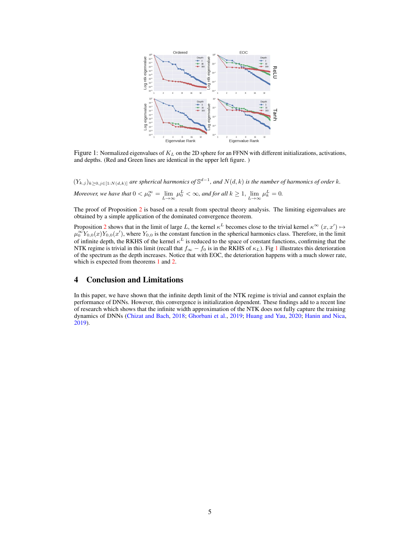

<span id="page-4-0"></span>Figure 1: Normalized eigenvalues of  $K_L$  on the 2D sphere for an FFNN with different initializations, activations, and depths. (Red and Green lines are identical in the upper left figure. )

 $(Y_{k,j})_{k\geq 0,j\in[1:N(d,k)]}$  are spherical harmonics of  $\mathbb{S}^{d-1}$ , and  $N(d,k)$  is the number of harmonics of order k. *Moreover, we have that*  $0 < \mu_0^{\infty} = \lim_{L \to \infty} \mu_0^L < \infty$ , and for all  $k \ge 1$ ,  $\lim_{L \to \infty} \mu_k^L = 0$ .

The proof of Proposition [2](#page-3-2) is based on a result from spectral theory analysis. The limiting eigenvalues are obtained by a simple application of the dominated convergence theorem.

Proposition [2](#page-3-2) shows that in the limit of large L, the kernel  $\kappa^L$  becomes close to the trivial kernel  $\kappa^{\infty}(x, x') \mapsto$  $\mu_0^{\infty} Y_{0,0}(x) Y_{0,0}(x')$ , where  $Y_{0,0}$  is the constant function in the spherical harmonics class. Therefore, in the limit of infinite depth, the RKHS of the kernel  $\kappa^L$  is reduced to the space of constant functions, confirming that the NTK regime is trivial in this limit (recall that  $f_{\infty} - f_0$  is in the RKHS of  $\kappa_L$ ). Fig [1](#page-4-0) illustrates this deterioration of the spectrum as the depth increases. Notice that with EOC, the deterioration happens with a much slower rate, which is expected from theorems 1 and [2.](#page-3-0)

# 4 Conclusion and Limitations

In this paper, we have shown that the infinite depth limit of the NTK regime is trivial and cannot explain the performance of DNNs. However, this convergence is initialization dependent. These findings add to a recent line of research which shows that the infinite width approximation of the NTK does not fully capture the training dynamics of DNNs [\(Chizat and Bach,](#page-5-17) [2018;](#page-5-17) [Ghorbani et al.,](#page-5-18) [2019;](#page-5-18) [Huang and Yau,](#page-5-19) [2020;](#page-5-19) [Hanin and Nica,](#page-5-20) [2019\)](#page-5-20).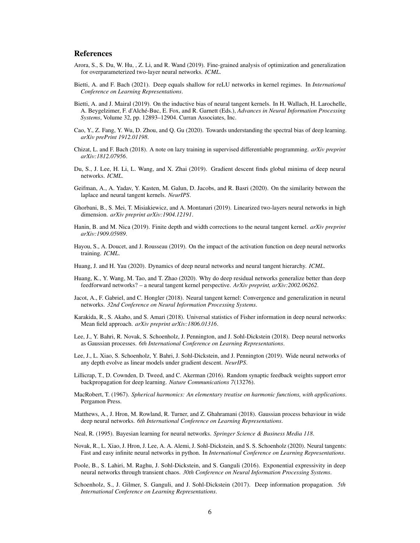# References

- <span id="page-5-4"></span>Arora, S., S. Du, W. Hu, , Z. Li, and R. Wand (2019). Fine-grained analysis of optimization and generalization for overparameterized two-layer neural networks. *ICML*.
- <span id="page-5-5"></span>Bietti, A. and F. Bach (2021). Deep equals shallow for reLU networks in kernel regimes. In *International Conference on Learning Representations*.
- <span id="page-5-2"></span>Bietti, A. and J. Mairal (2019). On the inductive bias of neural tangent kernels. In H. Wallach, H. Larochelle, A. Beygelzimer, F. d'Alché-Buc, E. Fox, and R. Garnett (Eds.), *Advances in Neural Information Processing Systems*, Volume 32, pp. 12893–12904. Curran Associates, Inc.
- <span id="page-5-16"></span>Cao, Y., Z. Fang, Y. Wu, D. Zhou, and Q. Gu (2020). Towards understanding the spectral bias of deep learning. *arXiv prePrint 1912.01198*.
- <span id="page-5-17"></span>Chizat, L. and F. Bach (2018). A note on lazy training in supervised differentiable programming. *arXiv preprint arXiv:1812.07956*.
- <span id="page-5-12"></span>Du, S., J. Lee, H. Li, L. Wang, and X. Zhai (2019). Gradient descent finds global minima of deep neural networks. *ICML*.
- <span id="page-5-15"></span>Geifman, A., A. Yadav, Y. Kasten, M. Galun, D. Jacobs, and R. Basri (2020). On the similarity between the laplace and neural tangent kernels. *NeurIPS*.
- <span id="page-5-18"></span>Ghorbani, B., S. Mei, T. Misiakiewicz, and A. Montanari (2019). Linearized two-layers neural networks in high dimension. *arXiv preprint arXiv:1904.12191*.
- <span id="page-5-20"></span>Hanin, B. and M. Nica (2019). Finite depth and width corrections to the neural tangent kernel. *arXiv preprint arXiv:1909.05989*.
- <span id="page-5-6"></span>Hayou, S., A. Doucet, and J. Rousseau (2019). On the impact of the activation function on deep neural networks training. *ICML*.
- <span id="page-5-19"></span>Huang, J. and H. Yau (2020). Dynamics of deep neural networks and neural tangent hierarchy. *ICML*.
- <span id="page-5-10"></span>Huang, K., Y. Wang, M. Tao, and T. Zhao (2020). Why do deep residual networks generalize better than deep feedforward networks? – a neural tangent kernel perspective. *ArXiv preprint, arXiv:2002.06262*.
- <span id="page-5-0"></span>Jacot, A., F. Gabriel, and C. Hongler (2018). Neural tangent kernel: Convergence and generalization in neural networks. *32nd Conference on Neural Information Processing Systems*.
- <span id="page-5-3"></span>Karakida, R., S. Akaho, and S. Amari (2018). Universal statistics of Fisher information in deep neural networks: Mean field approach. *arXiv preprint arXiv:1806.01316*.
- <span id="page-5-7"></span>Lee, J., Y. Bahri, R. Novak, S. Schoenholz, J. Pennington, and J. Sohl-Dickstein (2018). Deep neural networks as Gaussian processes. *6th International Conference on Learning Representations*.
- <span id="page-5-1"></span>Lee, J., L. Xiao, S. Schoenholz, Y. Bahri, J. Sohl-Dickstein, and J. Pennington (2019). Wide neural networks of any depth evolve as linear models under gradient descent. *NeurIPS*.
- Lillicrap, T., D. Cownden, D. Tweed, and C. Akerman (2016). Random synaptic feedback weights support error backpropagation for deep learning. *Nature Communications 7*(13276).
- MacRobert, T. (1967). *Spherical harmonics: An elementary treatise on harmonic functions, with applications*. Pergamon Press.
- <span id="page-5-14"></span>Matthews, A., J. Hron, M. Rowland, R. Turner, and Z. Ghahramani (2018). Gaussian process behaviour in wide deep neural networks. *6th International Conference on Learning Representations*.
- <span id="page-5-13"></span>Neal, R. (1995). Bayesian learning for neural networks. *Springer Science & Business Media 118*.
- <span id="page-5-11"></span>Novak, R., L. Xiao, J. Hron, J. Lee, A. A. Alemi, J. Sohl-Dickstein, and S. S. Schoenholz (2020). Neural tangents: Fast and easy infinite neural networks in python. In *International Conference on Learning Representations*.
- <span id="page-5-9"></span>Poole, B., S. Lahiri, M. Raghu, J. Sohl-Dickstein, and S. Ganguli (2016). Exponential expressivity in deep neural networks through transient chaos. *30th Conference on Neural Information Processing Systems*.
- <span id="page-5-8"></span>Schoenholz, S., J. Gilmer, S. Ganguli, and J. Sohl-Dickstein (2017). Deep information propagation. *5th International Conference on Learning Representations*.